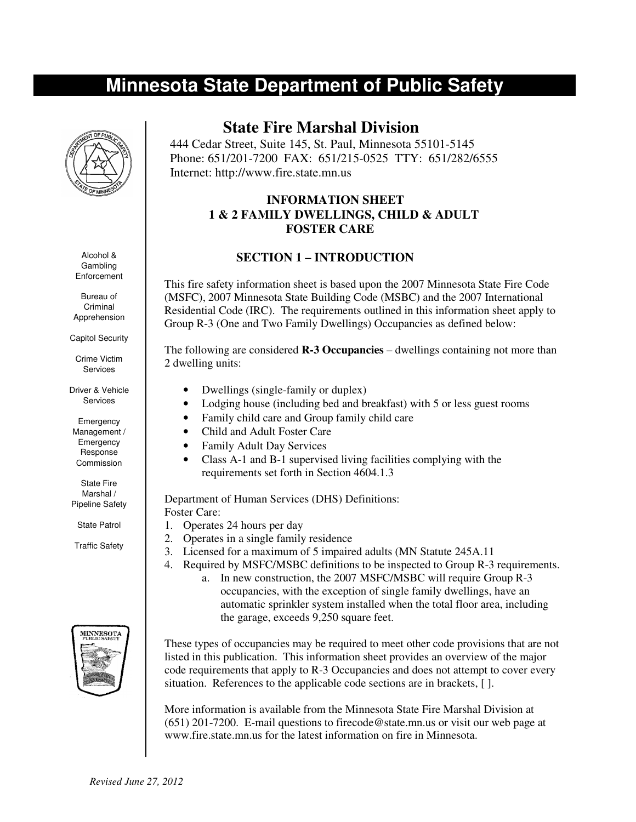## **Minnesota State Department of Public Safety**



Alcohol & Gambling **Enforcement** 

Bureau of Criminal Apprehension

Capitol Security

Crime Victim Services

Driver & Vehicle Services

Emergency Management / Emergency Response Commission

State Fire Marshal / Pipeline Safety

State Patrol

Traffic Safety



## **State Fire Marshal Division**

 444 Cedar Street, Suite 145, St. Paul, Minnesota 55101-5145 Phone: 651/201-7200 FAX: 651/215-0525 TTY: 651/282/6555 Internet: http://www.fire.state.mn.us

### **INFORMATION SHEET 1 & 2 FAMILY DWELLINGS, CHILD & ADULT FOSTER CARE**

### **SECTION 1 – INTRODUCTION**

This fire safety information sheet is based upon the 2007 Minnesota State Fire Code (MSFC), 2007 Minnesota State Building Code (MSBC) and the 2007 International Residential Code (IRC). The requirements outlined in this information sheet apply to Group R-3 (One and Two Family Dwellings) Occupancies as defined below:

The following are considered **R-3 Occupancies** – dwellings containing not more than 2 dwelling units:

- Dwellings (single-family or duplex)
- Lodging house (including bed and breakfast) with 5 or less guest rooms
- Family child care and Group family child care
- Child and Adult Foster Care
- Family Adult Day Services
- Class A-1 and B-1 supervised living facilities complying with the requirements set forth in Section 4604.1.3

Department of Human Services (DHS) Definitions: Foster Care:

- 1. Operates 24 hours per day
- 2. Operates in a single family residence
- 3. Licensed for a maximum of 5 impaired adults (MN Statute 245A.11

the garage, exceeds 9,250 square feet.

4. Required by MSFC/MSBC definitions to be inspected to Group R-3 requirements. a. In new construction, the 2007 MSFC/MSBC will require Group R-3 occupancies, with the exception of single family dwellings, have an

automatic sprinkler system installed when the total floor area, including

These types of occupancies may be required to meet other code provisions that are not listed in this publication. This information sheet provides an overview of the major code requirements that apply to R-3 Occupancies and does not attempt to cover every situation. References to the applicable code sections are in brackets, [ ].

More information is available from the Minnesota State Fire Marshal Division at (651) 201-7200. E-mail questions to firecode@state.mn.us or visit our web page at www.fire.state.mn.us for the latest information on fire in Minnesota.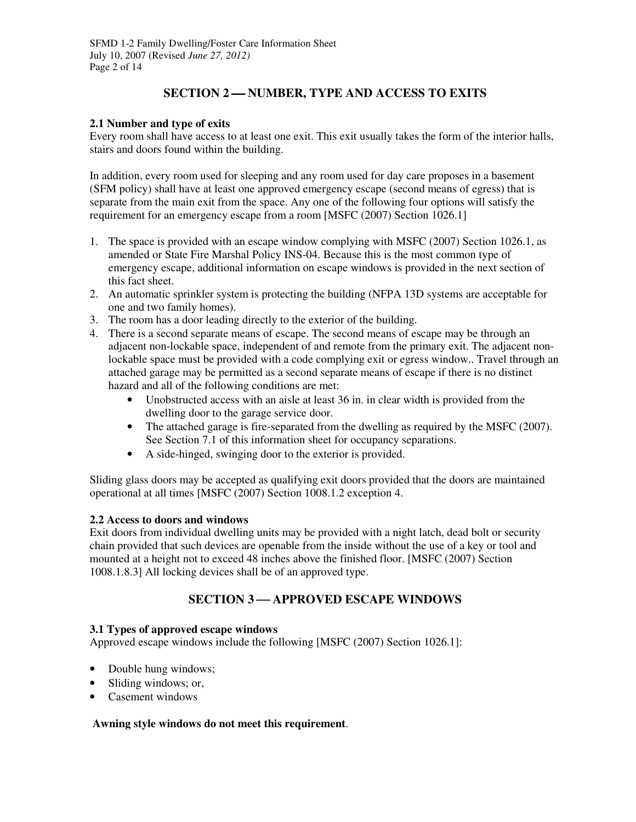## **SECTION 2-NUMBER, TYPE AND ACCESS TO EXITS**

#### **2.1 Number and type of exits**

Every room shall have access to at least one exit. This exit usually takes the form of the interior halls, stairs and doors found within the building.

In addition, every room used for sleeping and any room used for day care proposes in a basement (SFM policy) shall have at least one approved emergency escape (second means of egress) that is separate from the main exit from the space. Any one of the following four options will satisfy the requirement for an emergency escape from a room [MSFC (2007) Section 1026.1]

- 1. The space is provided with an escape window complying with MSFC (2007) Section 1026.1, as amended or State Fire Marshal Policy INS-04. Because this is the most common type of emergency escape, additional information on escape windows is provided in the next section of this fact sheet.
- 2. An automatic sprinkler system is protecting the building (NFPA 13D systems are acceptable for one and two family homes).
- 3. The room has a door leading directly to the exterior of the building.
- 4. There is a second separate means of escape. The second means of escape may be through an adjacent non-lockable space, independent of and remote from the primary exit. The adjacent nonlockable space must be provided with a code complying exit or egress window.. Travel through an attached garage may be permitted as a second separate means of escape if there is no distinct hazard and all of the following conditions are met:
	- Unobstructed access with an aisle at least 36 in. in clear width is provided from the dwelling door to the garage service door.
	- The attached garage is fire-separated from the dwelling as required by the MSFC (2007). See Section 7.1 of this information sheet for occupancy separations.
	- A side-hinged, swinging door to the exterior is provided.

Sliding glass doors may be accepted as qualifying exit doors provided that the doors are maintained operational at all times [MSFC (2007) Section 1008.1.2 exception 4.

#### **2.2 Access to doors and windows**

Exit doors from individual dwelling units may be provided with a night latch, dead bolt or security chain provided that such devices are openable from the inside without the use of a key or tool and mounted at a height not to exceed 48 inches above the finished floor. [MSFC (2007) Section 1008.1.8.3] All locking devices shall be of an approved type.

## **SECTION 3-APPROVED ESCAPE WINDOWS**

#### **3.1 Types of approved escape windows**

Approved escape windows include the following [MSFC (2007) Section 1026.1]:

- Double hung windows;
- Sliding windows; or,
- Casement windows

#### **Awning style windows do not meet this requirement**.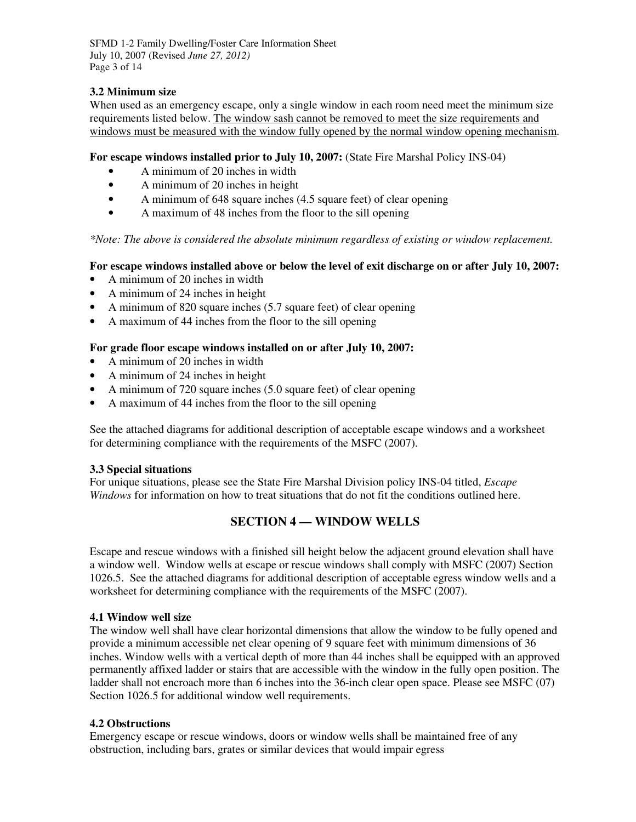SFMD 1-2 Family Dwelling/Foster Care Information Sheet July 10, 2007 (Revised *June 27, 2012)*  Page 3 of 14

#### **3.2 Minimum size**

When used as an emergency escape, only a single window in each room need meet the minimum size requirements listed below. The window sash cannot be removed to meet the size requirements and windows must be measured with the window fully opened by the normal window opening mechanism.

#### **For escape windows installed prior to July 10, 2007:** (State Fire Marshal Policy INS-04)

- A minimum of 20 inches in width
- A minimum of 20 inches in height
- A minimum of 648 square inches (4.5 square feet) of clear opening
- A maximum of 48 inches from the floor to the sill opening

*\*Note: The above is considered the absolute minimum regardless of existing or window replacement.* 

#### **For escape windows installed above or below the level of exit discharge on or after July 10, 2007:**

- A minimum of 20 inches in width
- A minimum of 24 inches in height
- A minimum of 820 square inches (5.7 square feet) of clear opening
- A maximum of 44 inches from the floor to the sill opening

#### **For grade floor escape windows installed on or after July 10, 2007:**

- A minimum of 20 inches in width
- A minimum of 24 inches in height
- A minimum of 720 square inches (5.0 square feet) of clear opening
- A maximum of 44 inches from the floor to the sill opening

See the attached diagrams for additional description of acceptable escape windows and a worksheet for determining compliance with the requirements of the MSFC (2007).

#### **3.3 Special situations**

For unique situations, please see the State Fire Marshal Division policy INS-04 titled, *Escape Windows* for information on how to treat situations that do not fit the conditions outlined here.

## **SECTION 4 — WINDOW WELLS**

Escape and rescue windows with a finished sill height below the adjacent ground elevation shall have a window well. Window wells at escape or rescue windows shall comply with MSFC (2007) Section 1026.5. See the attached diagrams for additional description of acceptable egress window wells and a worksheet for determining compliance with the requirements of the MSFC (2007).

#### **4.1 Window well size**

The window well shall have clear horizontal dimensions that allow the window to be fully opened and provide a minimum accessible net clear opening of 9 square feet with minimum dimensions of 36 inches. Window wells with a vertical depth of more than 44 inches shall be equipped with an approved permanently affixed ladder or stairs that are accessible with the window in the fully open position. The ladder shall not encroach more than 6 inches into the 36-inch clear open space. Please see MSFC (07) Section 1026.5 for additional window well requirements.

#### **4.2 Obstructions**

Emergency escape or rescue windows, doors or window wells shall be maintained free of any obstruction, including bars, grates or similar devices that would impair egress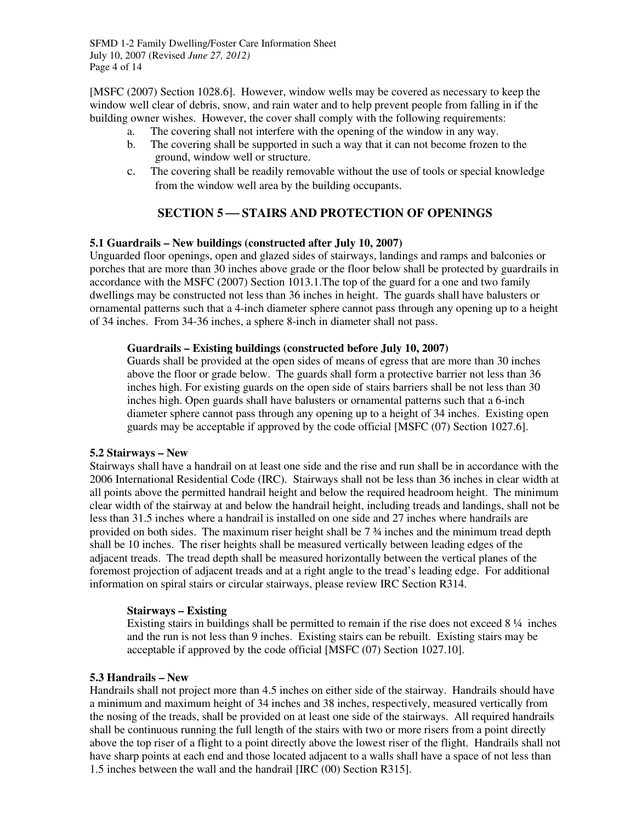[MSFC (2007) Section 1028.6]. However, window wells may be covered as necessary to keep the window well clear of debris, snow, and rain water and to help prevent people from falling in if the building owner wishes. However, the cover shall comply with the following requirements:

- a. The covering shall not interfere with the opening of the window in any way.
- b. The covering shall be supported in such a way that it can not become frozen to the ground, window well or structure.
- c. The covering shall be readily removable without the use of tools or special knowledge from the window well area by the building occupants.

### **SECTION 5 STAIRS AND PROTECTION OF OPENINGS**

#### **5.1 Guardrails – New buildings (constructed after July 10, 2007)**

Unguarded floor openings, open and glazed sides of stairways, landings and ramps and balconies or porches that are more than 30 inches above grade or the floor below shall be protected by guardrails in accordance with the MSFC (2007) Section 1013.1.The top of the guard for a one and two family dwellings may be constructed not less than 36 inches in height. The guards shall have balusters or ornamental patterns such that a 4-inch diameter sphere cannot pass through any opening up to a height of 34 inches. From 34-36 inches, a sphere 8-inch in diameter shall not pass.

#### **Guardrails – Existing buildings (constructed before July 10, 2007)**

Guards shall be provided at the open sides of means of egress that are more than 30 inches above the floor or grade below. The guards shall form a protective barrier not less than 36 inches high. For existing guards on the open side of stairs barriers shall be not less than 30 inches high. Open guards shall have balusters or ornamental patterns such that a 6-inch diameter sphere cannot pass through any opening up to a height of 34 inches. Existing open guards may be acceptable if approved by the code official [MSFC (07) Section 1027.6].

#### **5.2 Stairways – New**

Stairways shall have a handrail on at least one side and the rise and run shall be in accordance with the 2006 International Residential Code (IRC). Stairways shall not be less than 36 inches in clear width at all points above the permitted handrail height and below the required headroom height. The minimum clear width of the stairway at and below the handrail height, including treads and landings, shall not be less than 31.5 inches where a handrail is installed on one side and 27 inches where handrails are provided on both sides. The maximum riser height shall be 7 ¾ inches and the minimum tread depth shall be 10 inches. The riser heights shall be measured vertically between leading edges of the adjacent treads. The tread depth shall be measured horizontally between the vertical planes of the foremost projection of adjacent treads and at a right angle to the tread's leading edge. For additional information on spiral stairs or circular stairways, please review IRC Section R314.

#### **Stairways – Existing**

Existing stairs in buildings shall be permitted to remain if the rise does not exceed  $8\frac{1}{4}$  inches and the run is not less than 9 inches. Existing stairs can be rebuilt. Existing stairs may be acceptable if approved by the code official [MSFC (07) Section 1027.10].

#### **5.3 Handrails – New**

Handrails shall not project more than 4.5 inches on either side of the stairway. Handrails should have a minimum and maximum height of 34 inches and 38 inches, respectively, measured vertically from the nosing of the treads, shall be provided on at least one side of the stairways. All required handrails shall be continuous running the full length of the stairs with two or more risers from a point directly above the top riser of a flight to a point directly above the lowest riser of the flight. Handrails shall not have sharp points at each end and those located adjacent to a walls shall have a space of not less than 1.5 inches between the wall and the handrail [IRC (00) Section R315].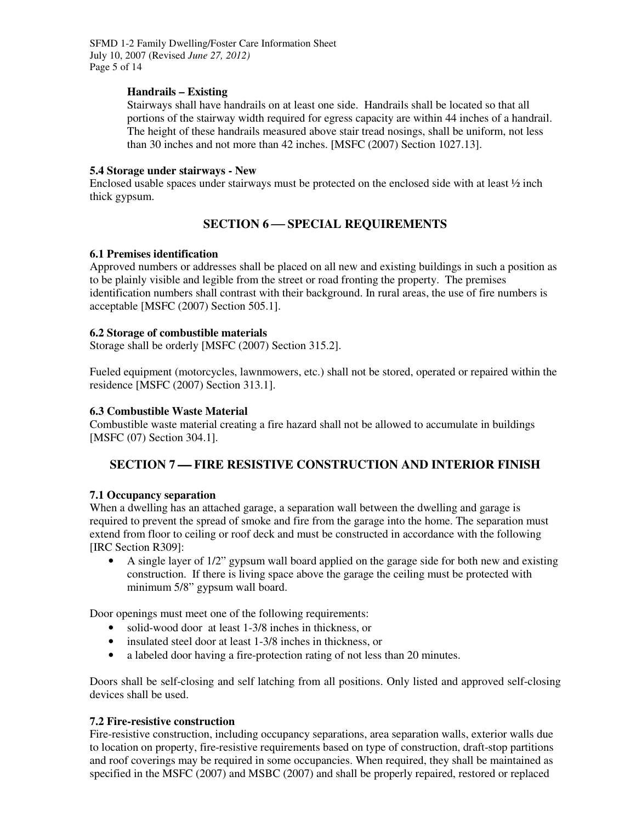SFMD 1-2 Family Dwelling/Foster Care Information Sheet July 10, 2007 (Revised *June 27, 2012)*  Page 5 of 14

#### **Handrails – Existing**

Stairways shall have handrails on at least one side. Handrails shall be located so that all portions of the stairway width required for egress capacity are within 44 inches of a handrail. The height of these handrails measured above stair tread nosings, shall be uniform, not less than 30 inches and not more than 42 inches. [MSFC (2007) Section 1027.13].

#### **5.4 Storage under stairways - New**

Enclosed usable spaces under stairways must be protected on the enclosed side with at least  $\frac{1}{2}$  inch thick gypsum.

## **SECTION 6 — SPECIAL REQUIREMENTS**

#### **6.1 Premises identification**

Approved numbers or addresses shall be placed on all new and existing buildings in such a position as to be plainly visible and legible from the street or road fronting the property. The premises identification numbers shall contrast with their background. In rural areas, the use of fire numbers is acceptable [MSFC (2007) Section 505.1].

#### **6.2 Storage of combustible materials**

Storage shall be orderly [MSFC (2007) Section 315.2].

Fueled equipment (motorcycles, lawnmowers, etc.) shall not be stored, operated or repaired within the residence [MSFC (2007) Section 313.1].

#### **6.3 Combustible Waste Material**

Combustible waste material creating a fire hazard shall not be allowed to accumulate in buildings [MSFC (07) Section 304.1].

## **SECTION 7 FIRE RESISTIVE CONSTRUCTION AND INTERIOR FINISH**

#### **7.1 Occupancy separation**

When a dwelling has an attached garage, a separation wall between the dwelling and garage is required to prevent the spread of smoke and fire from the garage into the home. The separation must extend from floor to ceiling or roof deck and must be constructed in accordance with the following [IRC Section R309]:

• A single layer of  $1/2$ " gypsum wall board applied on the garage side for both new and existing construction. If there is living space above the garage the ceiling must be protected with minimum 5/8" gypsum wall board.

Door openings must meet one of the following requirements:

- solid-wood door at least 1-3/8 inches in thickness, or
- insulated steel door at least 1-3/8 inches in thickness, or
- a labeled door having a fire-protection rating of not less than 20 minutes.

Doors shall be self-closing and self latching from all positions. Only listed and approved self-closing devices shall be used.

#### **7.2 Fire-resistive construction**

Fire-resistive construction, including occupancy separations, area separation walls, exterior walls due to location on property, fire-resistive requirements based on type of construction, draft-stop partitions and roof coverings may be required in some occupancies. When required, they shall be maintained as specified in the MSFC (2007) and MSBC (2007) and shall be properly repaired, restored or replaced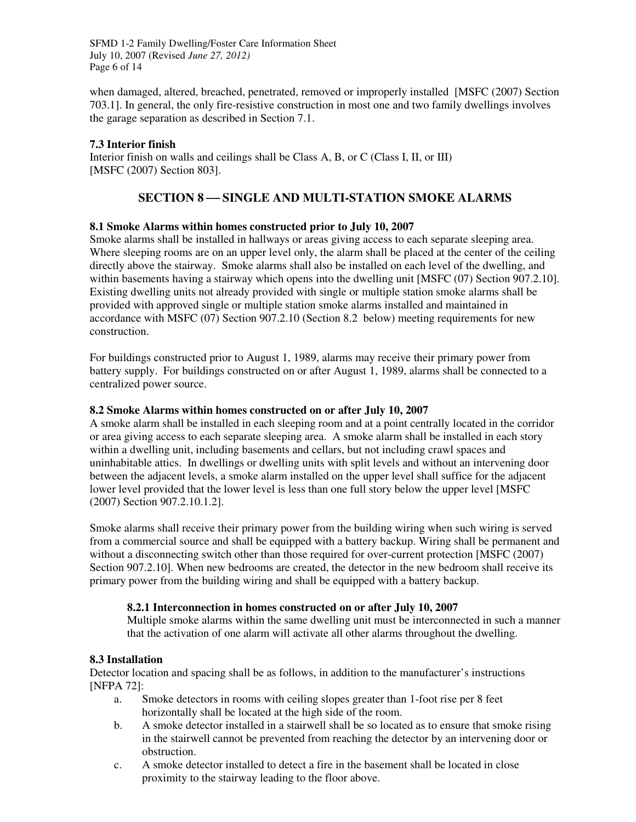SFMD 1-2 Family Dwelling/Foster Care Information Sheet July 10, 2007 (Revised *June 27, 2012)*  Page 6 of 14

when damaged, altered, breached, penetrated, removed or improperly installed [MSFC (2007) Section 703.1]. In general, the only fire-resistive construction in most one and two family dwellings involves the garage separation as described in Section 7.1.

#### **7.3 Interior finish**

Interior finish on walls and ceilings shall be Class A, B, or C (Class I, II, or III) [MSFC (2007) Section 803].

## **SECTION 8 SINGLE AND MULTI-STATION SMOKE ALARMS**

#### **8.1 Smoke Alarms within homes constructed prior to July 10, 2007**

Smoke alarms shall be installed in hallways or areas giving access to each separate sleeping area. Where sleeping rooms are on an upper level only, the alarm shall be placed at the center of the ceiling directly above the stairway. Smoke alarms shall also be installed on each level of the dwelling, and within basements having a stairway which opens into the dwelling unit [MSFC (07) Section 907.2.10]. Existing dwelling units not already provided with single or multiple station smoke alarms shall be provided with approved single or multiple station smoke alarms installed and maintained in accordance with MSFC (07) Section 907.2.10 (Section 8.2 below) meeting requirements for new construction.

For buildings constructed prior to August 1, 1989, alarms may receive their primary power from battery supply. For buildings constructed on or after August 1, 1989, alarms shall be connected to a centralized power source.

#### **8.2 Smoke Alarms within homes constructed on or after July 10, 2007**

A smoke alarm shall be installed in each sleeping room and at a point centrally located in the corridor or area giving access to each separate sleeping area. A smoke alarm shall be installed in each story within a dwelling unit, including basements and cellars, but not including crawl spaces and uninhabitable attics. In dwellings or dwelling units with split levels and without an intervening door between the adjacent levels, a smoke alarm installed on the upper level shall suffice for the adjacent lower level provided that the lower level is less than one full story below the upper level [MSFC (2007) Section 907.2.10.1.2].

Smoke alarms shall receive their primary power from the building wiring when such wiring is served from a commercial source and shall be equipped with a battery backup. Wiring shall be permanent and without a disconnecting switch other than those required for over-current protection [MSFC (2007) Section 907.2.10]. When new bedrooms are created, the detector in the new bedroom shall receive its primary power from the building wiring and shall be equipped with a battery backup.

#### **8.2.1 Interconnection in homes constructed on or after July 10, 2007**

Multiple smoke alarms within the same dwelling unit must be interconnected in such a manner that the activation of one alarm will activate all other alarms throughout the dwelling.

#### **8.3 Installation**

Detector location and spacing shall be as follows, in addition to the manufacturer's instructions [NFPA 72]:

- a. Smoke detectors in rooms with ceiling slopes greater than 1-foot rise per 8 feet horizontally shall be located at the high side of the room.
- b. A smoke detector installed in a stairwell shall be so located as to ensure that smoke rising in the stairwell cannot be prevented from reaching the detector by an intervening door or obstruction.
- c. A smoke detector installed to detect a fire in the basement shall be located in close proximity to the stairway leading to the floor above.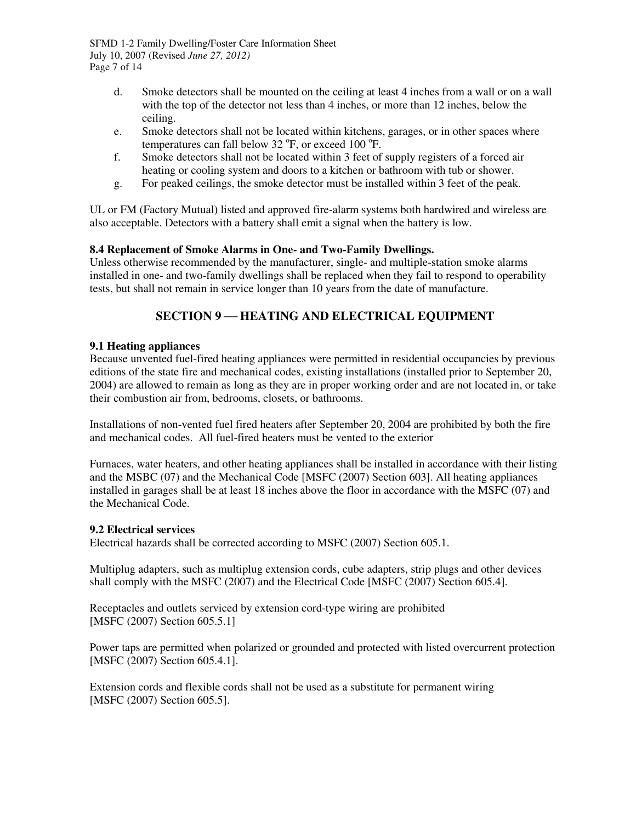SFMD 1-2 Family Dwelling/Foster Care Information Sheet July 10, 2007 (Revised *June 27, 2012)*  Page 7 of 14

- d. Smoke detectors shall be mounted on the ceiling at least 4 inches from a wall or on a wall with the top of the detector not less than 4 inches, or more than 12 inches, below the ceiling.
- e. Smoke detectors shall not be located within kitchens, garages, or in other spaces where temperatures can fall below 32  $\mathrm{^oF}$ , or exceed 100  $\mathrm{^oF}$ .
- f. Smoke detectors shall not be located within 3 feet of supply registers of a forced air heating or cooling system and doors to a kitchen or bathroom with tub or shower.
- g. For peaked ceilings, the smoke detector must be installed within 3 feet of the peak.

UL or FM (Factory Mutual) listed and approved fire-alarm systems both hardwired and wireless are also acceptable. Detectors with a battery shall emit a signal when the battery is low.

#### **8.4 Replacement of Smoke Alarms in One- and Two-Family Dwellings.**

Unless otherwise recommended by the manufacturer, single- and multiple-station smoke alarms installed in one- and two-family dwellings shall be replaced when they fail to respond to operability tests, but shall not remain in service longer than 10 years from the date of manufacture.

## **SECTION 9-HEATING AND ELECTRICAL EQUIPMENT**

#### **9.1 Heating appliances**

Because unvented fuel-fired heating appliances were permitted in residential occupancies by previous editions of the state fire and mechanical codes, existing installations (installed prior to September 20, 2004) are allowed to remain as long as they are in proper working order and are not located in, or take their combustion air from, bedrooms, closets, or bathrooms.

Installations of non-vented fuel fired heaters after September 20, 2004 are prohibited by both the fire and mechanical codes. All fuel-fired heaters must be vented to the exterior

Furnaces, water heaters, and other heating appliances shall be installed in accordance with their listing and the MSBC (07) and the Mechanical Code [MSFC (2007) Section 603]. All heating appliances installed in garages shall be at least 18 inches above the floor in accordance with the MSFC (07) and the Mechanical Code.

#### **9.2 Electrical services**

Electrical hazards shall be corrected according to MSFC (2007) Section 605.1.

Multiplug adapters, such as multiplug extension cords, cube adapters, strip plugs and other devices shall comply with the MSFC (2007) and the Electrical Code [MSFC (2007) Section 605.4].

Receptacles and outlets serviced by extension cord-type wiring are prohibited [MSFC (2007) Section 605.5.1]

Power taps are permitted when polarized or grounded and protected with listed overcurrent protection [MSFC (2007) Section 605.4.1].

Extension cords and flexible cords shall not be used as a substitute for permanent wiring [MSFC (2007) Section 605.5].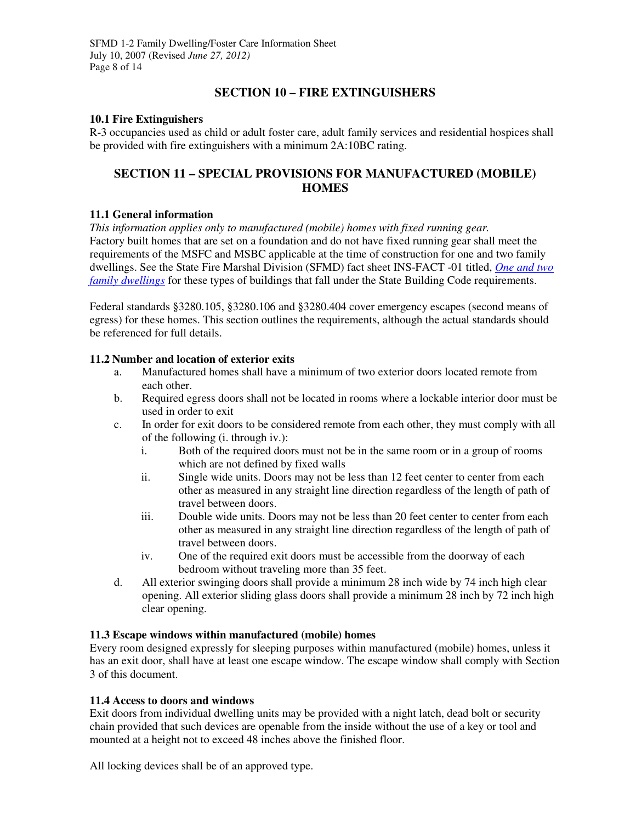## **SECTION 10 – FIRE EXTINGUISHERS**

#### **10.1 Fire Extinguishers**

R-3 occupancies used as child or adult foster care, adult family services and residential hospices shall be provided with fire extinguishers with a minimum 2A:10BC rating.

## **SECTION 11 – SPECIAL PROVISIONS FOR MANUFACTURED (MOBILE) HOMES**

#### **11.1 General information**

*This information applies only to manufactured (mobile) homes with fixed running gear.*  Factory built homes that are set on a foundation and do not have fixed running gear shall meet the requirements of the MSFC and MSBC applicable at the time of construction for one and two family dwellings. See the State Fire Marshal Division (SFMD) fact sheet INS-FACT -01 titled, *One and two family dwellings* for these types of buildings that fall under the State Building Code requirements.

Federal standards §3280.105, §3280.106 and §3280.404 cover emergency escapes (second means of egress) for these homes. This section outlines the requirements, although the actual standards should be referenced for full details.

#### **11.2 Number and location of exterior exits**

- a. Manufactured homes shall have a minimum of two exterior doors located remote from each other.
- b. Required egress doors shall not be located in rooms where a lockable interior door must be used in order to exit
- c. In order for exit doors to be considered remote from each other, they must comply with all of the following (i. through iv.):
	- i. Both of the required doors must not be in the same room or in a group of rooms which are not defined by fixed walls
	- ii. Single wide units. Doors may not be less than 12 feet center to center from each other as measured in any straight line direction regardless of the length of path of travel between doors.
	- iii. Double wide units. Doors may not be less than 20 feet center to center from each other as measured in any straight line direction regardless of the length of path of travel between doors.
	- iv. One of the required exit doors must be accessible from the doorway of each bedroom without traveling more than 35 feet.
- d. All exterior swinging doors shall provide a minimum 28 inch wide by 74 inch high clear opening. All exterior sliding glass doors shall provide a minimum 28 inch by 72 inch high clear opening.

#### **11.3 Escape windows within manufactured (mobile) homes**

Every room designed expressly for sleeping purposes within manufactured (mobile) homes, unless it has an exit door, shall have at least one escape window. The escape window shall comply with Section 3 of this document.

#### **11.4 Access to doors and windows**

Exit doors from individual dwelling units may be provided with a night latch, dead bolt or security chain provided that such devices are openable from the inside without the use of a key or tool and mounted at a height not to exceed 48 inches above the finished floor.

All locking devices shall be of an approved type.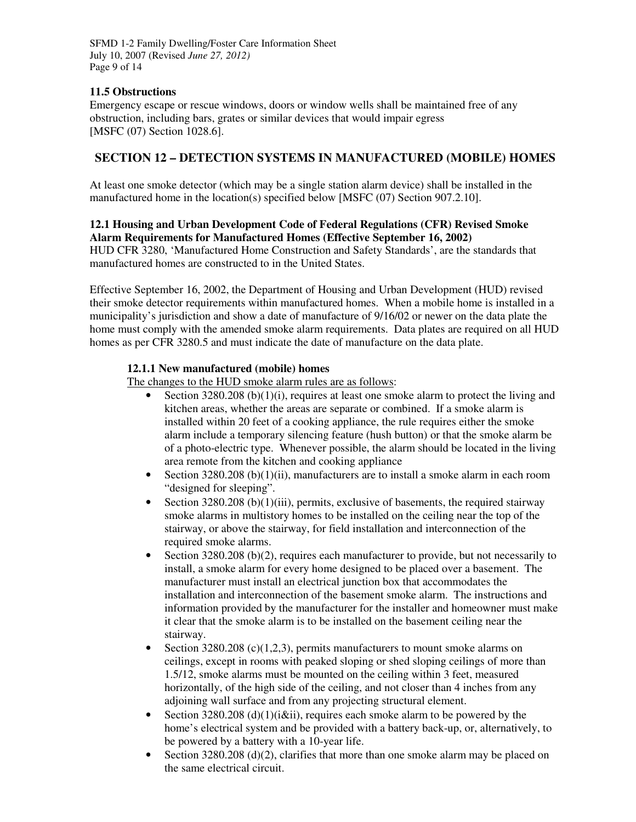SFMD 1-2 Family Dwelling/Foster Care Information Sheet July 10, 2007 (Revised *June 27, 2012)*  Page 9 of 14

#### **11.5 Obstructions**

Emergency escape or rescue windows, doors or window wells shall be maintained free of any obstruction, including bars, grates or similar devices that would impair egress [MSFC (07) Section 1028.6].

### **SECTION 12 – DETECTION SYSTEMS IN MANUFACTURED (MOBILE) HOMES**

At least one smoke detector (which may be a single station alarm device) shall be installed in the manufactured home in the location(s) specified below [MSFC (07) Section 907.2.10].

#### **12.1 Housing and Urban Development Code of Federal Regulations (CFR) Revised Smoke Alarm Requirements for Manufactured Homes (Effective September 16, 2002)**

HUD CFR 3280, 'Manufactured Home Construction and Safety Standards', are the standards that manufactured homes are constructed to in the United States.

Effective September 16, 2002, the Department of Housing and Urban Development (HUD) revised their smoke detector requirements within manufactured homes. When a mobile home is installed in a municipality's jurisdiction and show a date of manufacture of 9/16/02 or newer on the data plate the home must comply with the amended smoke alarm requirements. Data plates are required on all HUD homes as per CFR 3280.5 and must indicate the date of manufacture on the data plate.

#### **12.1.1 New manufactured (mobile) homes**

The changes to the HUD smoke alarm rules are as follows:

- Section 3280.208 (b)(1)(i), requires at least one smoke alarm to protect the living and kitchen areas, whether the areas are separate or combined. If a smoke alarm is installed within 20 feet of a cooking appliance, the rule requires either the smoke alarm include a temporary silencing feature (hush button) or that the smoke alarm be of a photo-electric type. Whenever possible, the alarm should be located in the living area remote from the kitchen and cooking appliance
- Section 3280.208 (b) $(1)(ii)$ , manufacturers are to install a smoke alarm in each room "designed for sleeping".
- Section  $3280.208$  (b)(1)(iii), permits, exclusive of basements, the required stairway smoke alarms in multistory homes to be installed on the ceiling near the top of the stairway, or above the stairway, for field installation and interconnection of the required smoke alarms.
- Section 3280.208 (b)(2), requires each manufacturer to provide, but not necessarily to install, a smoke alarm for every home designed to be placed over a basement. The manufacturer must install an electrical junction box that accommodates the installation and interconnection of the basement smoke alarm. The instructions and information provided by the manufacturer for the installer and homeowner must make it clear that the smoke alarm is to be installed on the basement ceiling near the stairway.
- Section 3280.208 (c)(1,2,3), permits manufacturers to mount smoke alarms on ceilings, except in rooms with peaked sloping or shed sloping ceilings of more than 1.5/12, smoke alarms must be mounted on the ceiling within 3 feet, measured horizontally, of the high side of the ceiling, and not closer than 4 inches from any adjoining wall surface and from any projecting structural element.
- Section 3280.208 (d)(1)( $i\ⅈ$ ), requires each smoke alarm to be powered by the home's electrical system and be provided with a battery back-up, or, alternatively, to be powered by a battery with a 10-year life.
- Section 3280.208 (d)(2), clarifies that more than one smoke alarm may be placed on the same electrical circuit.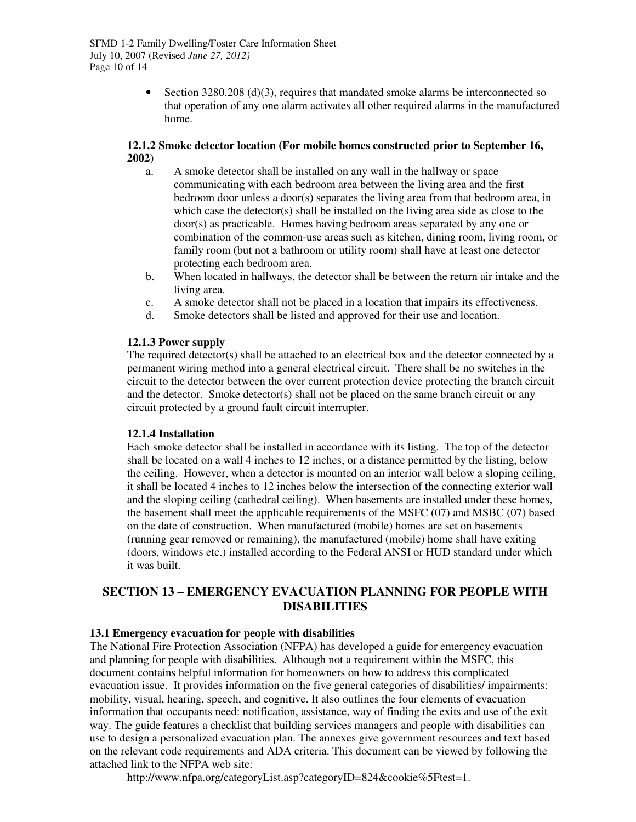• Section 3280.208 (d)(3), requires that mandated smoke alarms be interconnected so that operation of any one alarm activates all other required alarms in the manufactured home.

#### **12.1.2 Smoke detector location (For mobile homes constructed prior to September 16, 2002)**

- a. A smoke detector shall be installed on any wall in the hallway or space communicating with each bedroom area between the living area and the first bedroom door unless a door(s) separates the living area from that bedroom area, in which case the detector(s) shall be installed on the living area side as close to the door(s) as practicable. Homes having bedroom areas separated by any one or combination of the common-use areas such as kitchen, dining room, living room, or family room (but not a bathroom or utility room) shall have at least one detector protecting each bedroom area.
- b. When located in hallways, the detector shall be between the return air intake and the living area.
- c. A smoke detector shall not be placed in a location that impairs its effectiveness.
- d. Smoke detectors shall be listed and approved for their use and location.

#### **12.1.3 Power supply**

The required detector(s) shall be attached to an electrical box and the detector connected by a permanent wiring method into a general electrical circuit. There shall be no switches in the circuit to the detector between the over current protection device protecting the branch circuit and the detector. Smoke detector(s) shall not be placed on the same branch circuit or any circuit protected by a ground fault circuit interrupter.

#### **12.1.4 Installation**

Each smoke detector shall be installed in accordance with its listing. The top of the detector shall be located on a wall 4 inches to 12 inches, or a distance permitted by the listing, below the ceiling. However, when a detector is mounted on an interior wall below a sloping ceiling, it shall be located 4 inches to 12 inches below the intersection of the connecting exterior wall and the sloping ceiling (cathedral ceiling). When basements are installed under these homes, the basement shall meet the applicable requirements of the MSFC (07) and MSBC (07) based on the date of construction. When manufactured (mobile) homes are set on basements (running gear removed or remaining), the manufactured (mobile) home shall have exiting (doors, windows etc.) installed according to the Federal ANSI or HUD standard under which it was built.

#### **SECTION 13 – EMERGENCY EVACUATION PLANNING FOR PEOPLE WITH DISABILITIES**

#### **13.1 Emergency evacuation for people with disabilities**

The National Fire Protection Association (NFPA) has developed a guide for emergency evacuation and planning for people with disabilities. Although not a requirement within the MSFC, this document contains helpful information for homeowners on how to address this complicated evacuation issue. It provides information on the five general categories of disabilities/ impairments: mobility, visual, hearing, speech, and cognitive. It also outlines the four elements of evacuation information that occupants need: notification, assistance, way of finding the exits and use of the exit way. The guide features a checklist that building services managers and people with disabilities can use to design a personalized evacuation plan. The annexes give government resources and text based on the relevant code requirements and ADA criteria. This document can be viewed by following the attached link to the NFPA web site:

http://www.nfpa.org/categoryList.asp?categoryID=824&cookie%5Ftest=1.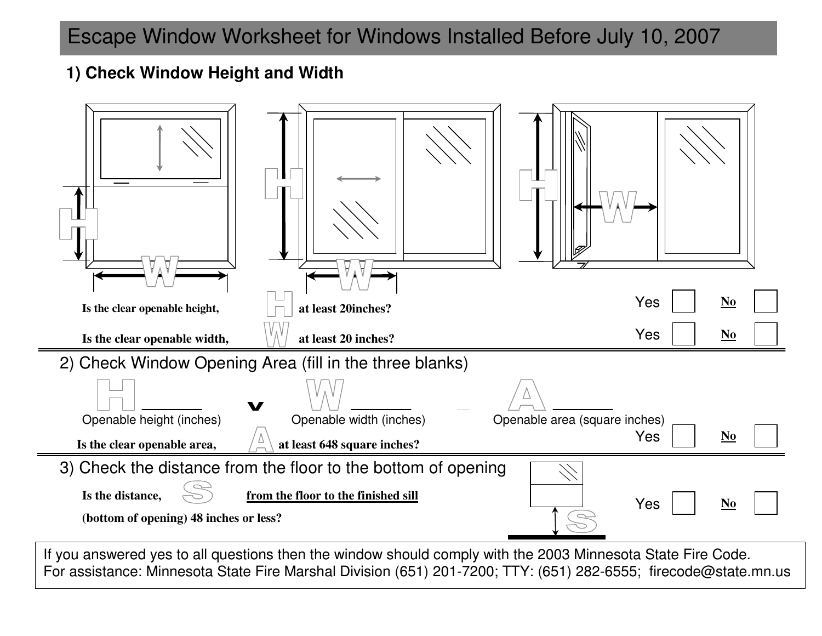# Escape Window Worksheet for Windows Installed Before July 10, 2007

## **1) Check Window Height and Width**

| Is the clear openable height,                                                                           | at least 20inches?                  |                               | Yes | $\mathbf{N}\mathbf{o}$             |  |  |
|---------------------------------------------------------------------------------------------------------|-------------------------------------|-------------------------------|-----|------------------------------------|--|--|
| Is the clear openable width,                                                                            | at least 20 inches?                 |                               | Yes | $\underline{\mathbf{N}\mathbf{0}}$ |  |  |
| 2) Check Window Opening Area (fill in the three blanks)                                                 |                                     |                               |     |                                    |  |  |
|                                                                                                         | V                                   |                               |     |                                    |  |  |
| Openable height (inches)                                                                                | Openable width (inches)             | Openable area (square inches) |     |                                    |  |  |
| Is the clear openable area,                                                                             | at least 648 square inches?         |                               | Yes | $\underline{\mathbf{N}\mathbf{o}}$ |  |  |
| 3) Check the distance from the floor to the bottom of opening                                           |                                     |                               |     |                                    |  |  |
| Is the distance,<br>(bottom of opening) 48 inches or less?                                              | from the floor to the finished sill |                               | Yes | N <sub>0</sub>                     |  |  |
| If you apowered yet all questions then the window should comply with the 2002 Minnesota State Eiro Code |                                     |                               |     |                                    |  |  |

*Revised June 27, 2012* For assistance: Minnesota State Fire Marshal Division (651) 201-7200; TTY: (651) 282-6555; firecode@state.mn.us If you answered yes to all questions then the window should comply with the 2003 Minnesota State Fire Code.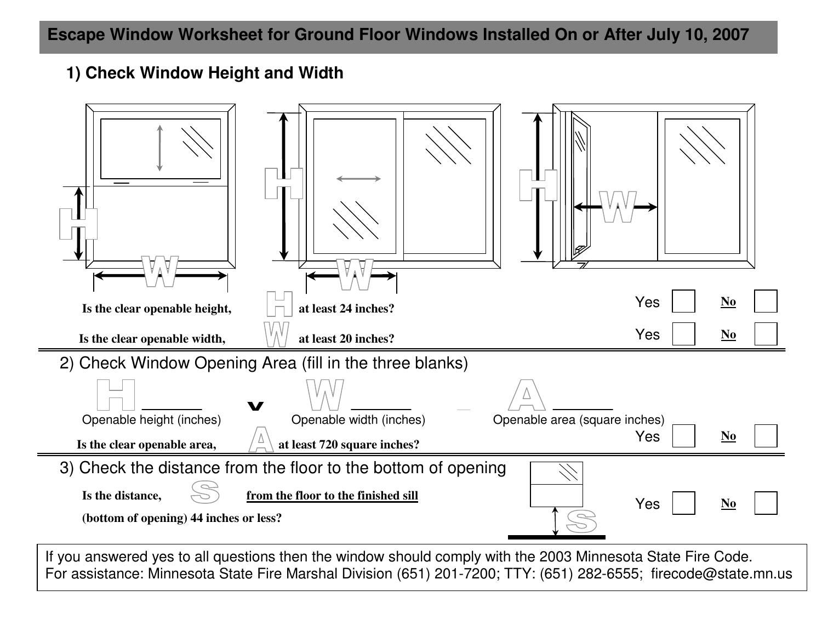## **1) Check Window Height and Width**

| Is the clear openable height,                                 | at least 24 inches?                 |                               | Yes<br>$\underline{\mathbf{N}\mathbf{0}}$ |  |  |
|---------------------------------------------------------------|-------------------------------------|-------------------------------|-------------------------------------------|--|--|
| Is the clear openable width,                                  | at least 20 inches?                 |                               | Yes<br>$\mathbf{N}\mathbf{o}$             |  |  |
| 2) Check Window Opening Area (fill in the three blanks)       |                                     |                               |                                           |  |  |
|                                                               | V                                   |                               |                                           |  |  |
| Openable height (inches)                                      | Openable width (inches)             | Openable area (square inches) |                                           |  |  |
| Is the clear openable area,                                   | at least 720 square inches?         |                               | Yes<br>$\underline{\mathbf{N}}$           |  |  |
| 3) Check the distance from the floor to the bottom of opening |                                     |                               |                                           |  |  |
| Is the distance,<br>(bottom of opening) 44 inches or less?    | from the floor to the finished sill |                               | Yes<br>N <sub>0</sub>                     |  |  |
|                                                               |                                     |                               |                                           |  |  |

*Revised June 27, 2012* If you answered yes to all questions then the window should comply with the 2003 Minnesota State Fire Code. For assistance: Minnesota State Fire Marshal Division (651) 201-7200; TTY: (651) 282-6555; firecode@state.mn.us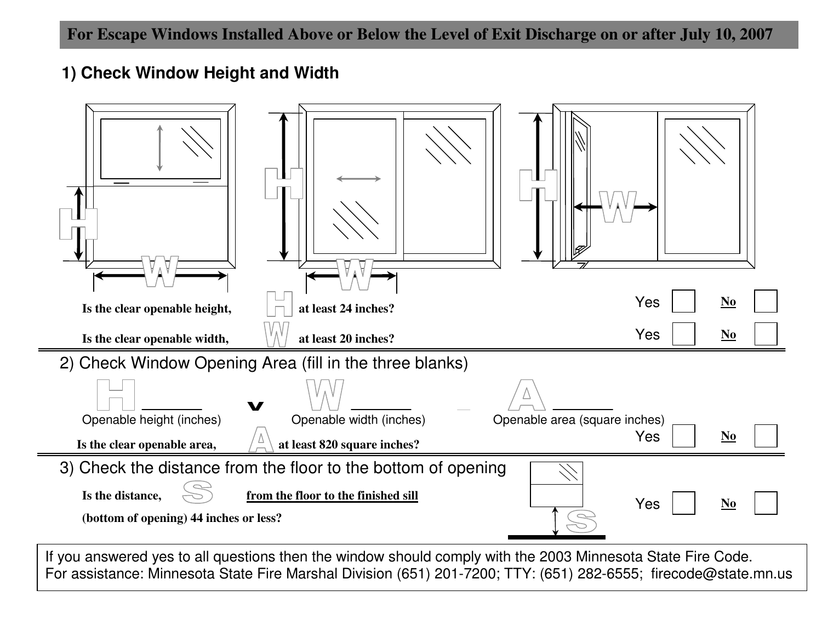## **1) Check Window Height and Width**

| Is the clear openable height,                                 | at least 24 inches?                 |                               | Yes<br>$\underline{\mathbf{N}\mathbf{o}}$ |  |  |
|---------------------------------------------------------------|-------------------------------------|-------------------------------|-------------------------------------------|--|--|
| Is the clear openable width,                                  | at least 20 inches?                 |                               | Yes<br>$\mathbf{N}\mathbf{o}$             |  |  |
| 2) Check Window Opening Area (fill in the three blanks)       |                                     |                               |                                           |  |  |
|                                                               |                                     |                               |                                           |  |  |
| Openable height (inches)                                      | Openable width (inches)             | Openable area (square inches) |                                           |  |  |
| Is the clear openable area,                                   | at least 820 square inches?         |                               | $\underline{\mathbf{N}\mathbf{0}}$<br>Yes |  |  |
| 3) Check the distance from the floor to the bottom of opening |                                     |                               |                                           |  |  |
| Is the distance,<br>(bottom of opening) 44 inches or less?    | from the floor to the finished sill |                               | Yes<br>N <sub>0</sub>                     |  |  |
|                                                               |                                     |                               |                                           |  |  |

*Revised June 27, 2012* If you answered yes to all questions then the window should comply with the 2003 Minnesota State Fire Code. For assistance: Minnesota State Fire Marshal Division (651) 201-7200; TTY: (651) 282-6555; firecode@state.mn.us